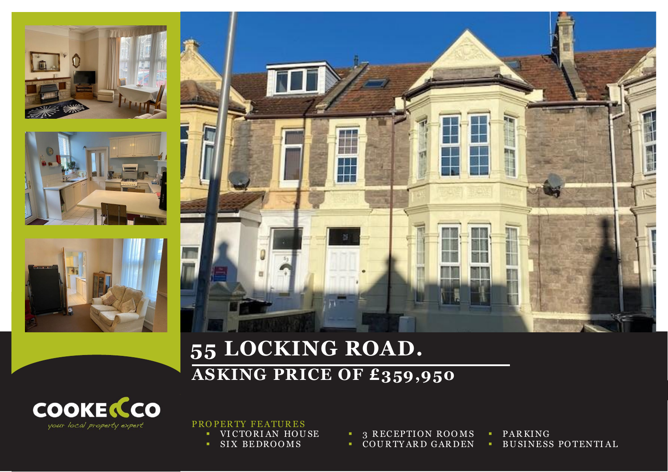







## **55 LOCKING ROAD. ASKING PRICE OF £359,950**



PROPERTY FEATURES

- **VICTORIAN HOUSE**
- SIX BEDROOMS

**3 RECEPTION ROOMS COURTYARD GARDEN**  **PARKING BUSINESS POTENTIAL**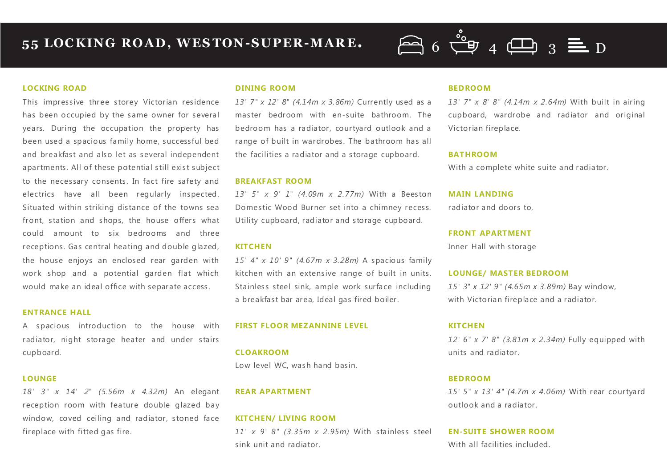# $\overline{6}$  6  $\stackrel{\circ}{C}$  9 4  $\overline{CD}$  3  $\equiv$  D

#### **LOCKING ROAD**

**BS23 3DG**

This impressive three storey Victorian residence has been occupied by the same owner for several years. During the occupation the property has been used a spacious family home, successful bed and breakfast and also let as several independent apartments. All of these potential still exist subject to the necessary consents. In fact fire safety and electrics have all been regularly inspected. Situated within striking distance of the towns sea front, station and shops, the house offers what could amount to six bedrooms and three receptions. Gas central heating and double glazed, the house enjoys an enclosed rear garden with work shop and a potential garden flat which would make an ideal office with separate access.

#### **ENTRANCE HALL**

A spacious introduction to the house with radiator, night storage heater and under stairs cupboard.

#### **LOUNGE**

*18' 3" x 14' 2" (5.56m x 4.32m)* An elegant reception room with feature double glazed bay window, coved ceiling and radiator, stoned face fireplace with fitted gas fire.

#### **DINING ROOM**

*13' 7" x 12' 8" (4.14m x 3.86m)* Currently used as a master bedroom with en-suite bathroom. The bedroom has a radiator, courtyard outlook and a range of built in wardrobes. The bathroom has all the facilities a radiator and a storage cupboard.

#### **BREAKFAST ROOM**

*13' 5" x 9' 1" (4.09m x 2.77m)* With a Beeston Domestic Wood Burner set into a chimney recess. Utility cupboard, radiator and storage cupboard.

#### **KITCHEN**

*15' 4" x 10' 9" (4.67m x 3.28m)* A spacious family kitchen with an extensive range of built in units. Stainless steel sink, ample work surface including a breakfast bar area, Ideal gas fired boiler.

#### **FIRST FLOOR MEZANNINE LEVEL**

**CLOAKROOM**

Low level WC, wash hand basin.

#### **REAR APARTMENT**

#### **KITCHEN/ LIVING ROOM**

*11' x 9' 8" (3.35m x 2.95m)* With stainless steel sink unit and radiator.

#### **BEDROOM**

*13' 7" x 8' 8" (4.14m x 2.64m)* With built in airing cupboard, wardrobe and radiator and original Victorian fireplace.

#### **BATHROOM**

With a complete white suite and radiator.

#### **MAIN LANDING**

radiator and doors to,

#### **FRONT APARTMENT**

Inner Hall with storage

#### **LOUNGE/ MASTER BEDROOM**

*15' 3" x 12' 9" (4.65m x 3.89m)* Bay window, with Victorian fireplace and a radiator.

#### **KITCHEN**

*12' 6" x 7' 8" (3.81m x 2.34m)* Fully equipped with units and radiator.

#### **BEDROOM**

*15' 5" x 13' 4" (4.7m x 4.06m)* With rear courtyard outlook and a radiator.

#### **EN-SUITE SHOWER ROOM**

With all facilities included.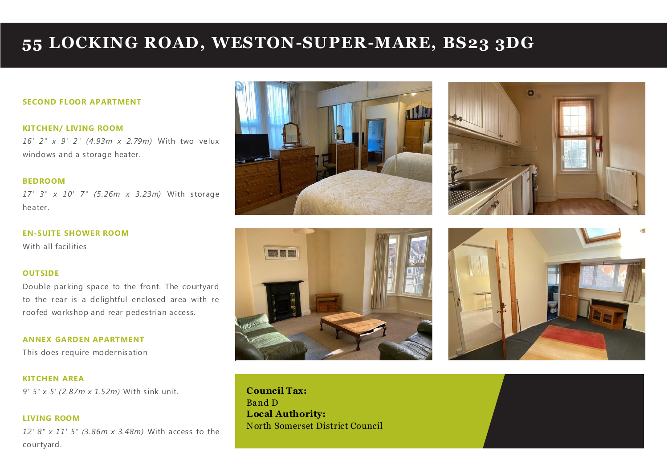### **55 LOCKING ROAD, WESTON-SUPER-MARE, BS23 3DG**

#### **SECOND FLOOR APARTMENT**

#### **KITCHEN/ LIVING ROOM**

*16' 2" x 9' 2" (4.93m x 2.79m)* With two velux windows and a storage heater.

#### **BEDROOM**

*17' 3" x 10' 7" (5.26m x 3.23m)* With storage heater.

#### **EN-SUITE SHOWER ROOM**

With all facilities

**LIVING ROOM**

#### **OUTSIDE**

Double parking space to the front. The courtyard to the rear is a delightful enclosed area with re roofed workshop and rear pedestrian access.

**ANNEX GARDEN APARTMENT** This does require modernisation

**KITCHEN AREA** *9' 5" x 5' (2.87m x 1.52m)* With sink unit.

*12' 8" x 11' 5" (3.86m x 3.48m)* With access to the courtyard.









**Council Tax:** Band D **Local Authority:** North Somerset District Council